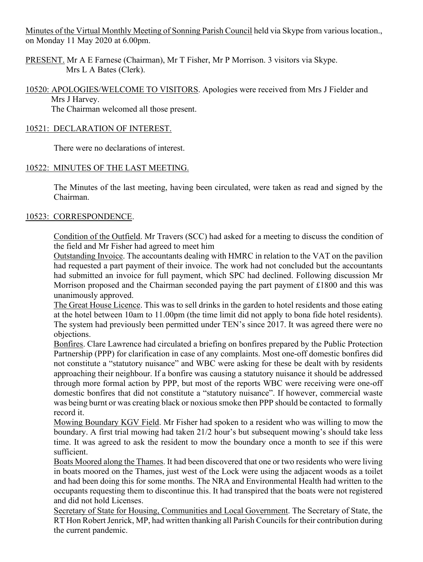Minutes of the Virtual Monthly Meeting of Sonning Parish Council held via Skype from various location., on Monday 11 May 2020 at 6.00pm.

PRESENT. Mr A E Farnese (Chairman), Mr T Fisher, Mr P Morrison. 3 visitors via Skype. Mrs L A Bates (Clerk).

10520: APOLOGIES/WELCOME TO VISITORS. Apologies were received from Mrs J Fielder and Mrs J Harvey.

The Chairman welcomed all those present.

## 10521: DECLARATION OF INTEREST.

There were no declarations of interest.

# 10522: MINUTES OF THE LAST MEETING.

The Minutes of the last meeting, having been circulated, were taken as read and signed by the Chairman.

# 10523: CORRESPONDENCE.

Condition of the Outfield. Mr Travers (SCC) had asked for a meeting to discuss the condition of the field and Mr Fisher had agreed to meet him

Outstanding Invoice. The accountants dealing with HMRC in relation to the VAT on the pavilion had requested a part payment of their invoice. The work had not concluded but the accountants had submitted an invoice for full payment, which SPC had declined. Following discussion Mr Morrison proposed and the Chairman seconded paying the part payment of £1800 and this was unanimously approved.

The Great House Licence. This was to sell drinks in the garden to hotel residents and those eating at the hotel between 10am to 11.00pm (the time limit did not apply to bona fide hotel residents). The system had previously been permitted under TEN's since 2017. It was agreed there were no objections.

Bonfires. Clare Lawrence had circulated a briefing on bonfires prepared by the Public Protection Partnership (PPP) for clarification in case of any complaints. Most one-off domestic bonfires did not constitute a "statutory nuisance" and WBC were asking for these be dealt with by residents approaching their neighbour. If a bonfire was causing a statutory nuisance it should be addressed through more formal action by PPP, but most of the reports WBC were receiving were one-off domestic bonfires that did not constitute a "statutory nuisance". If however, commercial waste was being burnt or was creating black or noxious smoke then PPP should be contacted to formally record it.

Mowing Boundary KGV Field. Mr Fisher had spoken to a resident who was willing to mow the boundary. A first trial mowing had taken 21/2 hour's but subsequent mowing's should take less time. It was agreed to ask the resident to mow the boundary once a month to see if this were sufficient.

Boats Moored along the Thames. It had been discovered that one or two residents who were living in boats moored on the Thames, just west of the Lock were using the adjacent woods as a toilet and had been doing this for some months. The NRA and Environmental Health had written to the occupants requesting them to discontinue this. It had transpired that the boats were not registered and did not hold Licenses.

Secretary of State for Housing, Communities and Local Government. The Secretary of State, the RT Hon Robert Jenrick, MP, had written thanking all Parish Councils for their contribution during the current pandemic.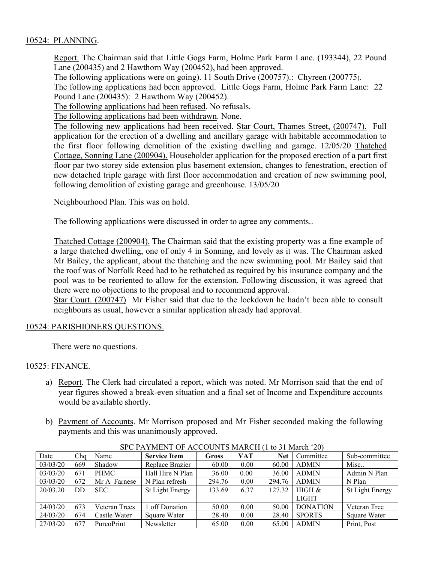### 10524: PLANNING.

Report. The Chairman said that Little Gogs Farm, Holme Park Farm Lane. (193344), 22 Pound Lane (200435) and 2 Hawthorn Way (200452), had been approved.

The following applications were on going). 11 South Drive (200757).: Chyreen (200775).

The following applications had been approved. Little Gogs Farm, Holme Park Farm Lane: 22 Pound Lane (200435): 2 Hawthorn Way (200452).

The following applications had been refused. No refusals.

The following applications had been withdrawn. None.

The following new applications had been received. Star Court, Thames Street, (200747). Full application for the erection of a dwelling and ancillary garage with habitable accommodation to the first floor following demolition of the existing dwelling and garage. 12/05/20 Thatched Cottage, Sonning Lane (200904). Householder application for the proposed erection of a part first floor par two storey side extension plus basement extension, changes to fenestration, erection of new detached triple garage with first floor accommodation and creation of new swimming pool, following demolition of existing garage and greenhouse. 13/05/20

Neighbourhood Plan. This was on hold.

The following applications were discussed in order to agree any comments..

Thatched Cottage (200904). The Chairman said that the existing property was a fine example of a large thatched dwelling, one of only 4 in Sonning, and lovely as it was. The Chairman asked Mr Bailey, the applicant, about the thatching and the new swimming pool. Mr Bailey said that the roof was of Norfolk Reed had to be rethatched as required by his insurance company and the pool was to be reoriented to allow for the extension. Following discussion, it was agreed that there were no objections to the proposal and to recommend approval.

Star Court. (200747) Mr Fisher said that due to the lockdown he hadn't been able to consult neighbours as usual, however a similar application already had approval.

### 10524: PARISHIONERS QUESTIONS.

There were no questions.

#### 10525: FINANCE.

- a) Report. The Clerk had circulated a report, which was noted. Mr Morrison said that the end of year figures showed a break-even situation and a final set of Income and Expenditure accounts would be available shortly.
- b) Payment of Accounts. Mr Morrison proposed and Mr Fisher seconded making the following payments and this was unanimously approved.

| SECTATIVILINE OF ACCOUNTS MARCH H TO 31 MARTIE 201 |     |               |                     |        |      |            |                 |                 |  |  |  |
|----------------------------------------------------|-----|---------------|---------------------|--------|------|------------|-----------------|-----------------|--|--|--|
| Date                                               | Cha | Name          | <b>Service Item</b> | Gross  | VAT  | <b>Net</b> | Committee       | Sub-committee   |  |  |  |
| 03/03/20                                           | 669 | Shadow        | Replace Brazier     | 60.00  | 0.00 | 60.00      | <b>ADMIN</b>    | Misc            |  |  |  |
| 03/03/20                                           | 671 | <b>PHMC</b>   | Hall Hire N Plan    | 36.00  | 0.00 | 36.00      | <b>ADMIN</b>    | Admin N Plan    |  |  |  |
| 03/03/20                                           | 672 | Mr A Farnese  | N Plan refresh      | 294.76 | 0.00 | 294.76     | <b>ADMIN</b>    | N Plan          |  |  |  |
| 20/03.20                                           | DD  | <b>SEC</b>    | St Light Energy     | 133.69 | 6.37 | 127.32     | HIGH &          | St Light Energy |  |  |  |
|                                                    |     |               |                     |        |      |            | <b>LIGHT</b>    |                 |  |  |  |
| 24/03/20                                           | 673 | Veteran Trees | off Donation        | 50.00  | 0.00 | 50.00      | <b>DONATION</b> | Veteran Tree    |  |  |  |
| 24/03/20                                           | 674 | Castle Water  | Square Water        | 28.40  | 0.00 | 28.40      | <b>SPORTS</b>   | Square Water    |  |  |  |
| 27/03/20                                           | 677 | PurcoPrint    | Newsletter          | 65.00  | 0.00 | 65.00      | <b>ADMIN</b>    | Print, Post     |  |  |  |

SPC PAYMENT OF ACCOUNTS MARCH (1 to 31 March '20)